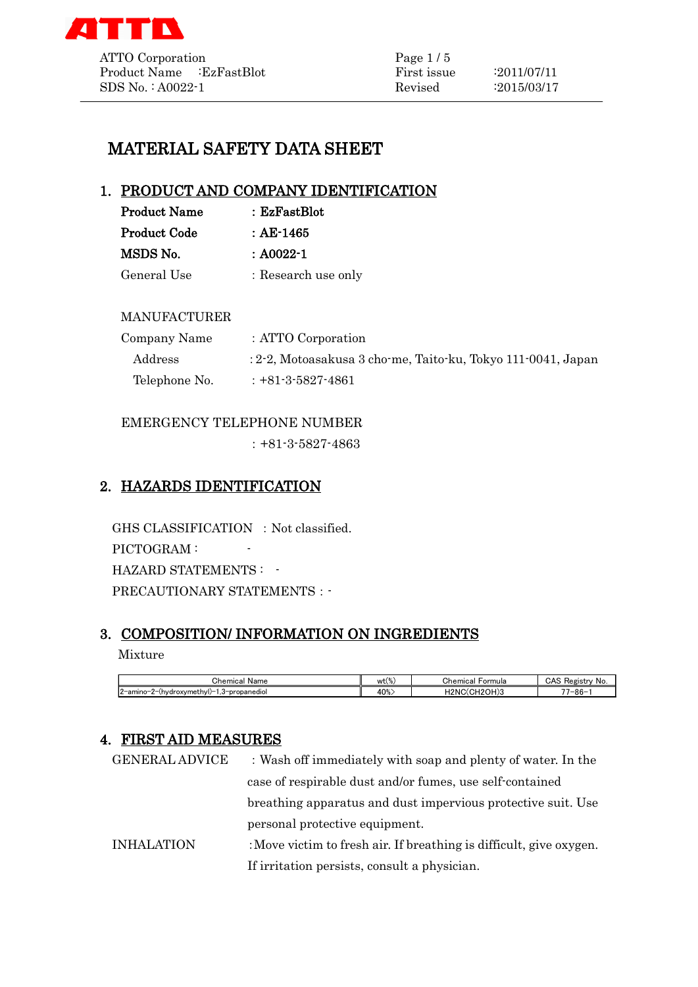

# MATERIAL SAFETY DATA SHEET

## 1. PRODUCT AND COMPANY IDENTIFICATION

| <b>Product Name</b> | : EzFastBlot        |
|---------------------|---------------------|
| <b>Product Code</b> | : AE-1465           |
| MSDS No.            | : A0022-1           |
| General Use         | : Research use only |

## MANUFACTURER

| Company Name  | : ATTO Corporation                                              |
|---------------|-----------------------------------------------------------------|
| Address       | $: 2-2$ , Motoasakusa 3 cho-me, Taito-ku, Tokyo 111-0041, Japan |
| Telephone No. | $: +81 - 3 - 5827 - 4861$                                       |

## EMERGENCY TELEPHONE NUMBER

:+81-3-5827-4863

# 2. HAZARDS IDENTIFICATION

GHS CLASSIFICATION : Not classified. PICTOGRAM : -HAZARD STATEMENTS : -PRECAUTIONARY STATEMENTS : -

# 3. COMPOSITION/ INFORMATION ON INGREDIENTS

#### Mixture

| ~<br>`hemical<br>Name                                                      | wt(               | Formula<br>' hemicalش                                 | CAS<br>≅No.<br>Registr |
|----------------------------------------------------------------------------|-------------------|-------------------------------------------------------|------------------------|
| - י<br>$12$ -amino- $2$ - $(h$ vdroxymethyl $)$ -<br>3-propanediol<br>د. ا | $\Omega$<br>TU/0. | H2NC(<br>100<br>$\cdots$<br>$\cdots$<br>נו חש:<br>. г | $7 - 86 -$             |

## 4. FIRST AID MEASURES

| <b>GENERAL ADVICE</b> | : Wash off immediately with soap and plenty of water. In the        |
|-----------------------|---------------------------------------------------------------------|
|                       | case of respirable dust and/or fumes, use self-contained            |
|                       | breathing apparatus and dust impervious protective suit. Use        |
|                       | personal protective equipment.                                      |
| <b>INHALATION</b>     | : Move victim to fresh air. If breathing is difficult, give oxygen. |
|                       | If irritation persists, consult a physician.                        |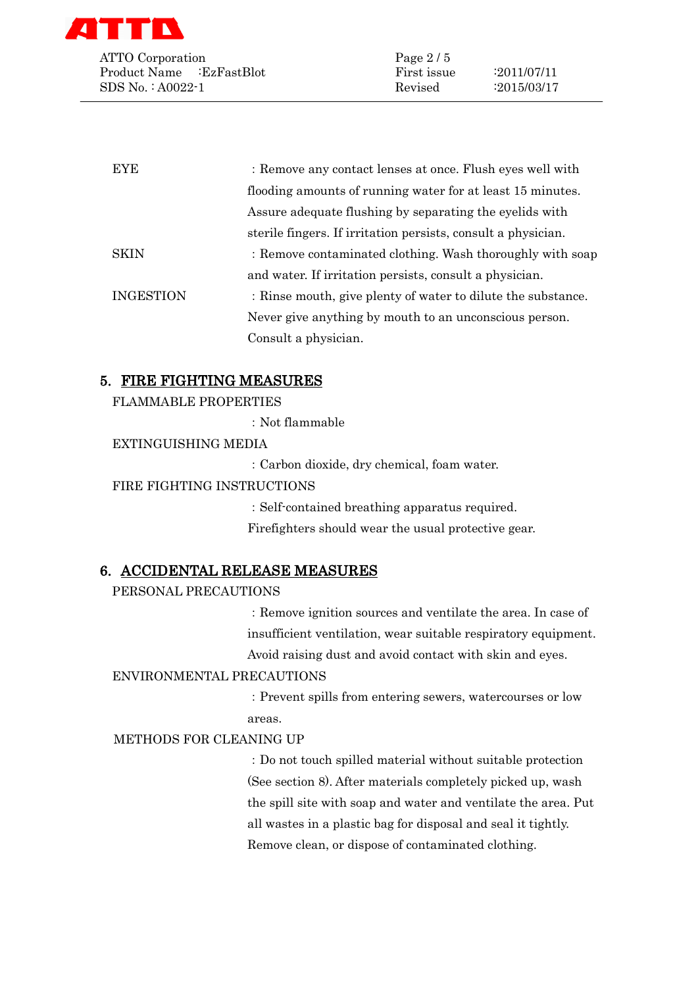

ATTO Corporation Page 2/5 Product Name :EzFastBlot First issue :2011/07/11 SDS No. : A0022-1 Revised :2015/03/17

| <b>EYE</b>       | : Remove any contact lenses at once. Flush eyes well with     |
|------------------|---------------------------------------------------------------|
|                  | flooding amounts of running water for at least 15 minutes.    |
|                  | Assure adequate flushing by separating the eyelids with       |
|                  | sterile fingers. If irritation persists, consult a physician. |
| <b>SKIN</b>      | : Remove contaminated clothing. Wash thoroughly with soap     |
|                  | and water. If irritation persists, consult a physician.       |
| <b>INGESTION</b> | : Rinse mouth, give plenty of water to dilute the substance.  |
|                  | Never give anything by mouth to an unconscious person.        |
|                  | Consult a physician.                                          |

## 5. FIRE FIGHTING MEASURES

FLAMMABLE PROPERTIES

:Not flammable

#### EXTINGUISHING MEDIA

:Carbon dioxide, dry chemical, foam water.

#### FIRE FIGHTING INSTRUCTIONS

:Self-contained breathing apparatus required. Firefighters should wear the usual protective gear.

## 6. ACCIDENTAL RELEASE MEASURES

#### PERSONAL PRECAUTIONS

:Remove ignition sources and ventilate the area. In case of insufficient ventilation, wear suitable respiratory equipment. Avoid raising dust and avoid contact with skin and eyes.

#### ENVIRONMENTAL PRECAUTIONS

:Prevent spills from entering sewers, watercourses or low areas.

#### METHODS FOR CLEANING UP

:Do not touch spilled material without suitable protection (See section 8). After materials completely picked up, wash the spill site with soap and water and ventilate the area. Put all wastes in a plastic bag for disposal and seal it tightly. Remove clean, or dispose of contaminated clothing.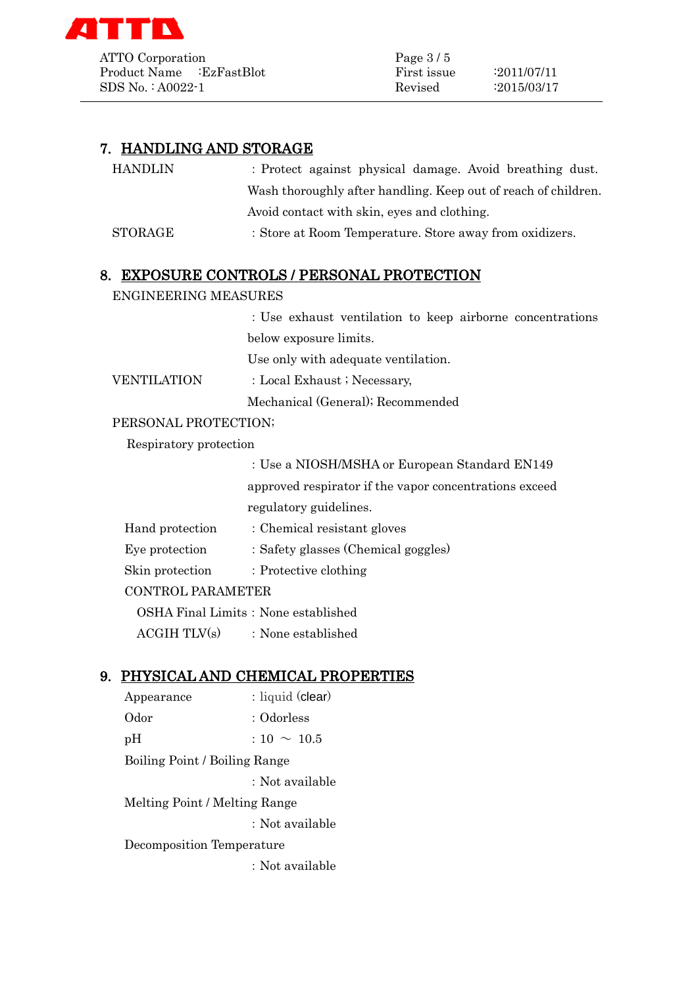

ATTO Corporation Page 3/5 Product Name :EzFastBlot First issue :2011/07/11 SDS No. : A0022-1 Revised :2015/03/17

# 7. HANDLING AND STORAGE

| HANDLIN | : Protect against physical damage. Avoid breathing dust.       |
|---------|----------------------------------------------------------------|
|         | Wash thoroughly after handling. Keep out of reach of children. |
|         | Avoid contact with skin, eyes and clothing.                    |
| STORAGE | : Store at Room Temperature. Store away from oxidizers.        |
|         |                                                                |

## 8. EXPOSURE CONTROLS / PERSONAL PROTECTION

#### ENGINEERING MEASURES

:Use exhaust ventilation to keep airborne concentrations below exposure limits.

Use only with adequate ventilation.

VENTILATION : Local Exhaust ; Necessary,

Mechanical (General); Recommended

## PERSONAL PROTECTION;

Respiratory protection

:Use a NIOSH/MSHA or European Standard EN149 approved respirator if the vapor concentrations exceed regulatory guidelines.

| Hand protection          | : Chemical resistant gloves         |  |
|--------------------------|-------------------------------------|--|
| Eye protection           | : Safety glasses (Chemical goggles) |  |
| Skin protection          | : Protective clothing               |  |
| <b>CONTROL PARAMETER</b> |                                     |  |
|                          |                                     |  |

OSHA Final Limits: None established

 $ACGIH TLV(s)$  : None established

## 9. PHYSICAL AND CHEMICAL PROPERTIES

Appearance : liquid (clear) Odor : Odorless  $pH$  :  $10 \sim 10.5$ Boiling Point / Boiling Range :Not available Melting Point / Melting Range :Not available Decomposition Temperature :Not available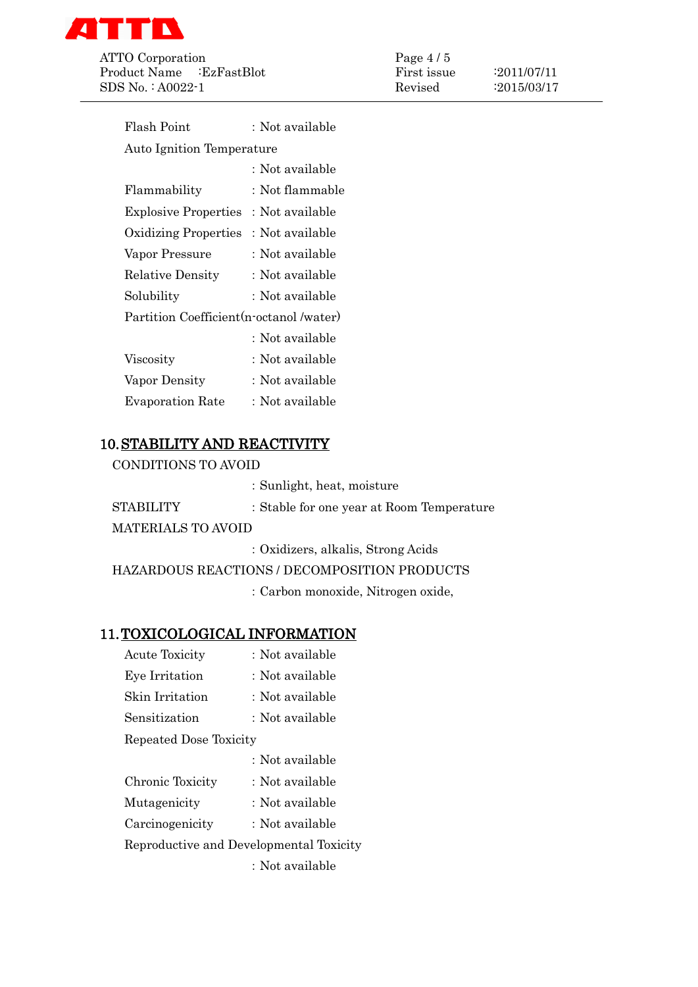

ATTO Corporation Page 4/5 Product Name :EzFastBlot First issue :2011/07/11 SDS No.: A0022-1 Revised :2015/03/17

| Flash Point                              | : Not available |  |
|------------------------------------------|-----------------|--|
| <b>Auto Ignition Temperature</b>         |                 |  |
|                                          | : Not available |  |
| Flammability                             | : Not flammable |  |
| <b>Explosive Properties</b>              | : Not available |  |
| <b>Oxidizing Properties</b>              | : Not available |  |
| Vapor Pressure                           | : Not available |  |
| <b>Relative Density</b>                  | : Not available |  |
| Solubility                               | : Not available |  |
| Partition Coefficient (n-octanol /water) |                 |  |
|                                          | : Not available |  |
| Viscosity                                | : Not available |  |
| Vapor Density                            | : Not available |  |
| <b>Evaporation Rate</b>                  | : Not available |  |
|                                          |                 |  |

# 10.STABILITY AND REACTIVITY

CONDITIONS TO AVOID

|                           | : Sunlight, heat, moisture                |
|---------------------------|-------------------------------------------|
| <b>STABILITY</b>          | : Stable for one year at Room Temperature |
| <b>MATERIALS TO AVOID</b> |                                           |
|                           | $\mathbf{11}$ $\mathbf{12}$ $\mathbf{13}$ |

:Oxidizers, alkalis, Strong Acids

HAZARDOUS REACTIONS / DECOMPOSITION PRODUCTS

:Carbon monoxide, Nitrogen oxide,

# 11.TOXICOLOGICAL INFORMATION

| <b>Acute Toxicity</b>                   | : Not available |
|-----------------------------------------|-----------------|
| Eye Irritation                          | : Not available |
| Skin Irritation                         | : Not available |
| Sensitization                           | : Not available |
| Repeated Dose Toxicity                  |                 |
|                                         | : Not available |
| Chronic Toxicity                        | : Not available |
| Mutagenicity                            | : Not available |
| Carcinogenicity                         | : Not available |
| Reproductive and Developmental Toxicity |                 |
|                                         | : Not available |